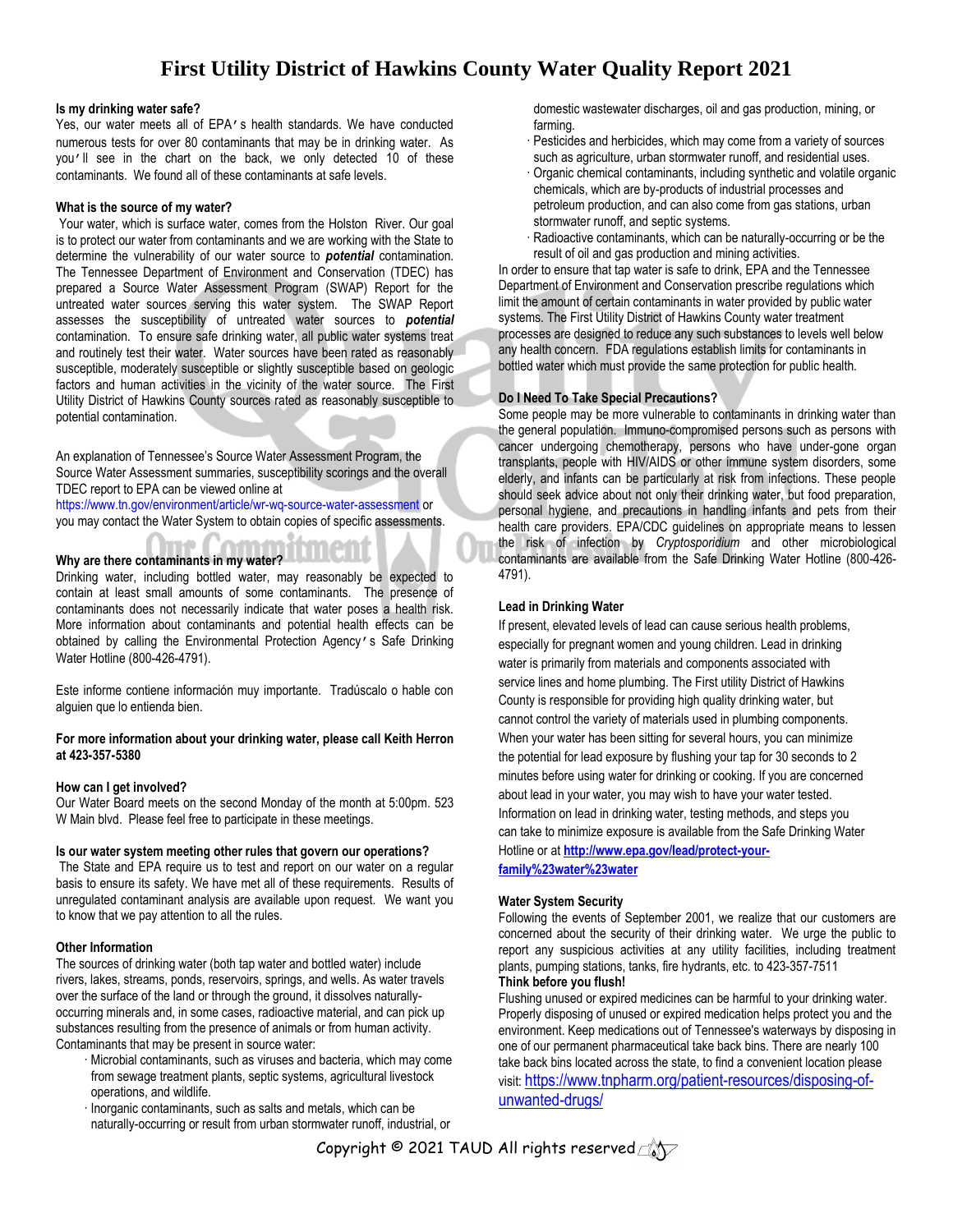# **First Utility District of Hawkins County Water Quality Report 2021**

#### **Is my drinking water safe?**

Yes, our water meets all of EPA's health standards. We have conducted numerous tests for over 80 contaminants that may be in drinking water. As you'll see in the chart on the back, we only detected 10 of these contaminants. We found all of these contaminants at safe levels.

#### **What is the source of my water?**

Your water, which is surface water, comes from the Holston River. Our goal is to protect our water from contaminants and we are working with the State to determine the vulnerability of our water source to *potential* contamination. The Tennessee Department of Environment and Conservation (TDEC) has prepared a Source Water Assessment Program (SWAP) Report for the untreated water sources serving this water system. The SWAP Report assesses the susceptibility of untreated water sources to *potential* contamination. To ensure safe drinking water, all public water systems treat and routinely test their water. Water sources have been rated as reasonably susceptible, moderately susceptible or slightly susceptible based on geologic factors and human activities in the vicinity of the water source. The First Utility District of Hawkins County sources rated as reasonably susceptible to potential contamination.

An explanation of Tennessee's Source Water Assessment Program, the Source Water Assessment summaries, susceptibility scorings and the overall TDEC report to EPA can be viewed online at

<https://www.tn.gov/environment/article/wr-wq-source-water-assessment> or you may contact the Water System to obtain copies of specific assessments.

### **Why are there contaminants in my water?**

Drinking water, including bottled water, may reasonably be expected to contain at least small amounts of some contaminants. The presence of contaminants does not necessarily indicate that water poses a health risk. More information about contaminants and potential health effects can be obtained by calling the Environmental Protection Agency's Safe Drinking Water Hotline (800-426-4791).

Este informe contiene información muy importante. Tradúscalo o hable con alguien que lo entienda bien.

#### **For more information about your drinking water, please call Keith Herron at 423-357-5380**

#### **How can I get involved?**

Our Water Board meets on the second Monday of the month at 5:00pm. 523 W Main blvd. Please feel free to participate in these meetings.

#### **Is our water system meeting other rules that govern our operations?**

The State and EPA require us to test and report on our water on a regular basis to ensure its safety. We have met all of these requirements. Results of unregulated contaminant analysis are available upon request. We want you to know that we pay attention to all the rules.

#### **Other Information**

The sources of drinking water (both tap water and bottled water) include rivers, lakes, streams, ponds, reservoirs, springs, and wells. As water travels over the surface of the land or through the ground, it dissolves naturallyoccurring minerals and, in some cases, radioactive material, and can pick up substances resulting from the presence of animals or from human activity. Contaminants that may be present in source water:

- · Microbial contaminants, such as viruses and bacteria, which may come from sewage treatment plants, septic systems, agricultural livestock operations, and wildlife.
- · Inorganic contaminants, such as salts and metals, which can be naturally-occurring or result from urban stormwater runoff, industrial, or

domestic wastewater discharges, oil and gas production, mining, or farming.

- · Pesticides and herbicides, which may come from a variety of sources such as agriculture, urban stormwater runoff, and residential uses.
- · Organic chemical contaminants, including synthetic and volatile organic chemicals, which are by-products of industrial processes and petroleum production, and can also come from gas stations, urban stormwater runoff, and septic systems.
- Radioactive contaminants, which can be naturally-occurring or be the result of oil and gas production and mining activities.

In order to ensure that tap water is safe to drink, EPA and the Tennessee Department of Environment and Conservation prescribe regulations which limit the amount of certain contaminants in water provided by public water systems. The First Utility District of Hawkins County water treatment processes are designed to reduce any such substances to levels well below any health concern. FDA regulations establish limits for contaminants in bottled water which must provide the same protection for public health.

#### **Do I Need To Take Special Precautions?**

Some people may be more vulnerable to contaminants in drinking water than the general population. Immuno-compromised persons such as persons with cancer undergoing chemotherapy, persons who have under-gone organ transplants, people with HIV/AIDS or other immune system disorders, some elderly, and infants can be particularly at risk from infections. These people should seek advice about not only their drinking water, but food preparation, personal hygiene, and precautions in handling infants and pets from their health care providers. EPA/CDC guidelines on appropriate means to lessen the risk of infection by *Cryptosporidium* and other microbiological contaminants are available from the Safe Drinking Water Hotline (800-426- 4791).

#### **Lead in Drinking Water**

If present, elevated levels of lead can cause serious health problems, especially for pregnant women and young children. Lead in drinking water is primarily from materials and components associated with service lines and home plumbing. The First utility District of Hawkins County is responsible for providing high quality drinking water, but cannot control the variety of materials used in plumbing components. When your water has been sitting for several hours, you can minimize the potential for lead exposure by flushing your tap for 30 seconds to 2 minutes before using water for drinking or cooking. If you are concerned about lead in your water, you may wish to have your water tested. Information on lead in drinking water, testing methods, and steps you can take to minimize exposure is available from the Safe Drinking Water Hotline or at **[http://www.epa.gov/lead/protect-your-](http://www.epa.gov/lead/protect-your-family%23water%23water)**

**[family%23water%23water](http://www.epa.gov/lead/protect-your-family%23water%23water)**

#### **Water System Security**

Following the events of September 2001, we realize that our customers are concerned about the security of their drinking water. We urge the public to report any suspicious activities at any utility facilities, including treatment plants, pumping stations, tanks, fire hydrants, etc. to 423-357-7511 **Think before you flush!**

## Flushing unused or expired medicines can be harmful to your drinking water. Properly disposing of unused or expired medication helps protect you and the environment. Keep medications out of Tennessee's waterways by disposing in one of our permanent pharmaceutical take back bins. There are nearly 100 take back bins located across the state, to find a convenient location please visit: [https://www.tnpharm.org/patient-resources/disposing-of](https://www.tnpharm.org/patient-resources/disposing-of-unwanted-drugs/)[unwanted-drugs/](https://www.tnpharm.org/patient-resources/disposing-of-unwanted-drugs/)

Copyright © 2021 TAUD All rights reserved $\text{Cov}$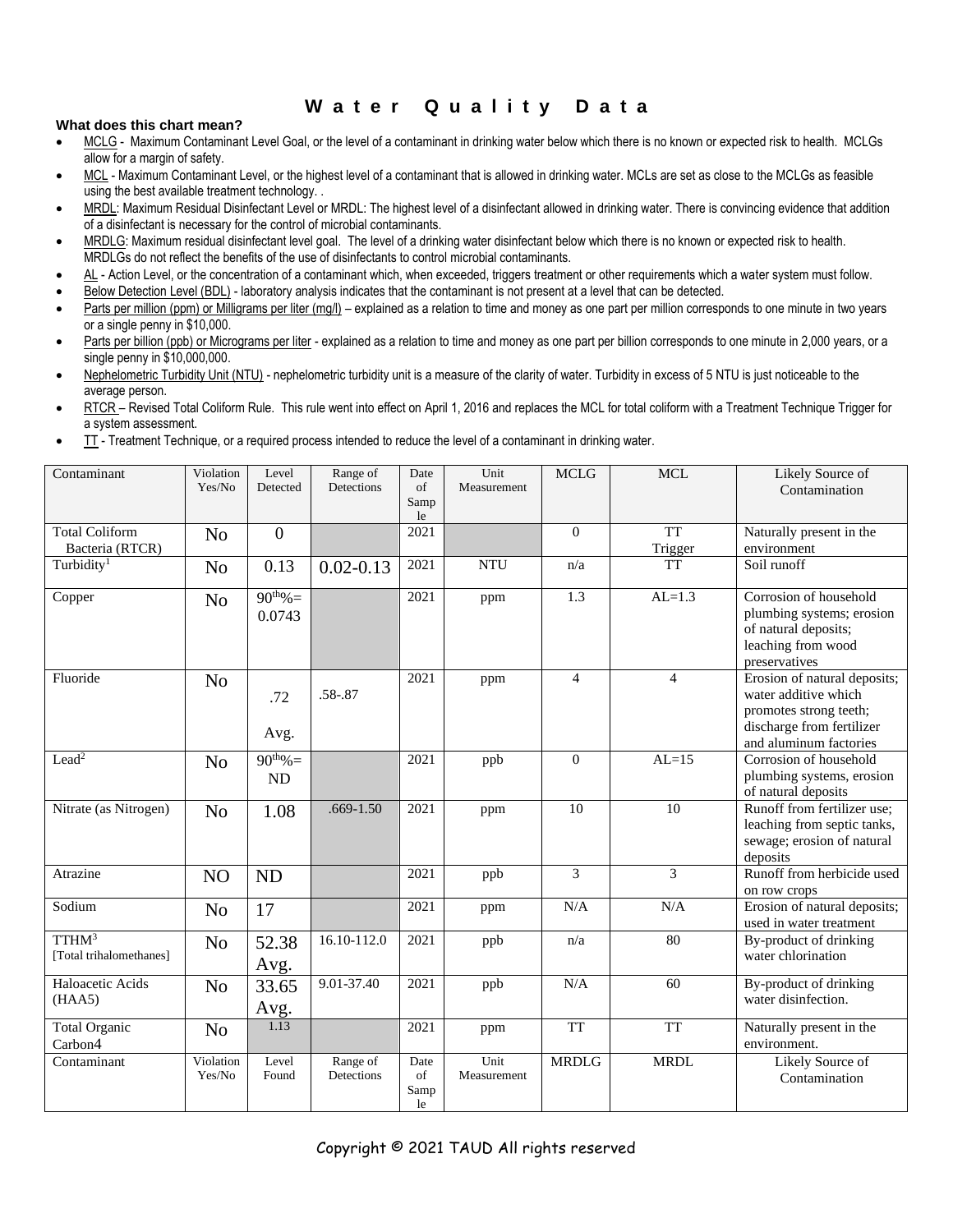## **W a t e r Q u a l i t y D a t a**

## **What does this chart mean?**

- MCLG Maximum Contaminant Level Goal, or the level of a contaminant in drinking water below which there is no known or expected risk to health. MCLGs allow for a margin of safety.
- MCL Maximum Contaminant Level, or the highest level of a contaminant that is allowed in drinking water. MCLs are set as close to the MCLGs as feasible using the best available treatment technology. .
- MRDL: Maximum Residual Disinfectant Level or MRDL: The highest level of a disinfectant allowed in drinking water. There is convincing evidence that addition of a disinfectant is necessary for the control of microbial contaminants.
- MRDLG: Maximum residual disinfectant level goal. The level of a drinking water disinfectant below which there is no known or expected risk to health. MRDLGs do not reflect the benefits of the use of disinfectants to control microbial contaminants.
- AL Action Level, or the concentration of a contaminant which, when exceeded, triggers treatment or other requirements which a water system must follow.
- Below Detection Level (BDL) laboratory analysis indicates that the contaminant is not present at a level that can be detected.
- Parts per million (ppm) or Milligrams per liter (mg/l) explained as a relation to time and money as one part per million corresponds to one minute in two years or a single penny in \$10,000.
- Parts per billion (ppb) or Micrograms per liter explained as a relation to time and money as one part per billion corresponds to one minute in 2,000 years, or a single penny in \$10,000,000.
- Nephelometric Turbidity Unit (NTU) nephelometric turbidity unit is a measure of the clarity of water. Turbidity in excess of 5 NTU is just noticeable to the average person.
- RTCR Revised Total Coliform Rule. This rule went into effect on April 1, 2016 and replaces the MCL for total coliform with a Treatment Technique Trigger for a system assessment.
- TT Treatment Technique, or a required process intended to reduce the level of a contaminant in drinking water.

| Contaminant                                  | Violation<br>Yes/No | Level<br>Detected       | Range of<br>Detections | Date<br>of<br>Samp<br>le | Unit<br>Measurement | <b>MCLG</b>  | <b>MCL</b>           | Likely Source of<br>Contamination                                                                                                     |
|----------------------------------------------|---------------------|-------------------------|------------------------|--------------------------|---------------------|--------------|----------------------|---------------------------------------------------------------------------------------------------------------------------------------|
| <b>Total Coliform</b><br>Bacteria (RTCR)     | N <sub>o</sub>      | $\boldsymbol{0}$        |                        | 2021                     |                     | $\Omega$     | <b>TT</b><br>Trigger | Naturally present in the<br>environment                                                                                               |
| Turbidity <sup>1</sup>                       | N <sub>o</sub>      | 0.13                    | $0.02 - 0.13$          | 2021                     | <b>NTU</b>          | n/a          | <b>TT</b>            | Soil runoff                                                                                                                           |
| Copper                                       | N <sub>o</sub>      | $90^{th}\% =$<br>0.0743 |                        | 2021                     | ppm                 | 1.3          | $AL=1.3$             | Corrosion of household<br>plumbing systems; erosion<br>of natural deposits;<br>leaching from wood<br>preservatives                    |
| Fluoride                                     | N <sub>o</sub>      | .72<br>Avg.             | $.58 - .87$            | 2021                     | ppm                 | 4            | $\overline{4}$       | Erosion of natural deposits;<br>water additive which<br>promotes strong teeth;<br>discharge from fertilizer<br>and aluminum factories |
| Lead <sup>2</sup>                            | N <sub>o</sub>      | $90^{th}\% =$<br>ND     |                        | 2021                     | ppb                 | $\theta$     | $AL=15$              | Corrosion of household<br>plumbing systems, erosion<br>of natural deposits                                                            |
| Nitrate (as Nitrogen)                        | N <sub>o</sub>      | 1.08                    | $.669 - 1.50$          | 2021                     | ppm                 | 10           | 10                   | Runoff from fertilizer use;<br>leaching from septic tanks,<br>sewage; erosion of natural<br>deposits                                  |
| Atrazine                                     | N <sub>O</sub>      | <b>ND</b>               |                        | 2021                     | ppb                 | 3            | 3                    | Runoff from herbicide used<br>on row crops                                                                                            |
| Sodium                                       | N <sub>o</sub>      | 17                      |                        | 2021                     | ppm                 | N/A          | N/A                  | Erosion of natural deposits;<br>used in water treatment                                                                               |
| TTHM <sup>3</sup><br>[Total trihalomethanes] | N <sub>o</sub>      | 52.38<br>Avg.           | 16.10-112.0            | 2021                     | ppb                 | n/a          | 80                   | By-product of drinking<br>water chlorination                                                                                          |
| Haloacetic Acids<br>(HAA5)                   | N <sub>o</sub>      | 33.65<br>Avg.           | 9.01-37.40             | 2021                     | ppb                 | N/A          | 60                   | By-product of drinking<br>water disinfection.                                                                                         |
| <b>Total Organic</b><br>Carbon <sub>4</sub>  | N <sub>o</sub>      | 1.13                    |                        | 2021                     | ppm                 | <b>TT</b>    | <b>TT</b>            | Naturally present in the<br>environment.                                                                                              |
| Contaminant                                  | Violation<br>Yes/No | Level<br>Found          | Range of<br>Detections | Date<br>of<br>Samp<br>le | Unit<br>Measurement | <b>MRDLG</b> | <b>MRDL</b>          | Likely Source of<br>Contamination                                                                                                     |